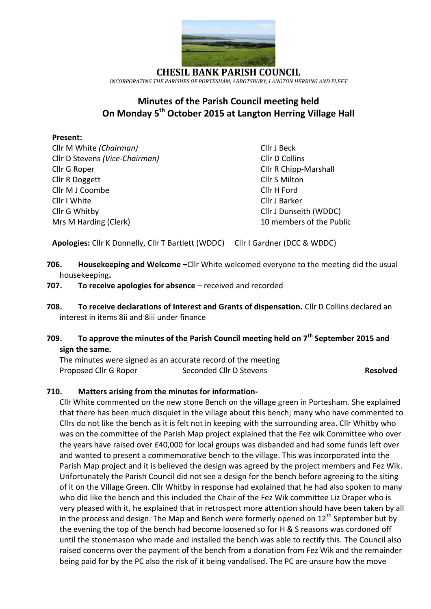

**CHESIL BANK PARISH COUNCIL** *INCORPORATING THE PARISHES OF PORTESHAM, ABBOTSBURY, LANGTON HERRING AND FLEET*

# **Minutes of the Parish Council meeting held On Monday 5 th October 2015 at Langton Herring Village Hall**

#### **Present:**

Cllr M White *(Chairman)* Cllr J Beck Cllr D Stevens *(Vice-Chairman)* Cllr D Collins Cllr G Roper Cllr R Chipp-Marshall Cllr R Doggett Cllr S Milton Cllr M J Coombe Cllr H Ford Cllr I White Cllr J Barker Cllr G Whitby Cllr J Dunseith (WDDC) Mrs M Harding (Clerk) 10 members of the Public

**Apologies:** Cllr K Donnelly, Cllr T Bartlett (WDDC) Cllr I Gardner (DCC & WDDC)

- **706. Housekeeping and Welcome** –Cllr White welcomed everyone to the meeting did the usual housekeeping**.**
- **707.** To receive apologies for absence received and recorded
- **708. To receive declarations of Interest and Grants of dispensation.** Cllr D Collins declared an interest in items 8ii and 8iii under finance

## **709. To approve the minutes of the Parish Council meeting held on 7 th September 2015 and sign the same.**

The minutes were signed as an accurate record of the meeting Proposed Cllr G Roper Seconded Cllr D Stevens **Resolved** 

### **710. Matters arising from the minutes for information-**

Cllr White commented on the new stone Bench on the village green in Portesham. She explained that there has been much disquiet in the village about this bench; many who have commented to Cllrs do not like the bench as it is felt not in keeping with the surrounding area. Cllr Whitby who was on the committee of the Parish Map project explained that the Fez wik Committee who over the years have raised over £40,000 for local groups was disbanded and had some funds left over and wanted to present a commemorative bench to the village. This was incorporated into the Parish Map project and it is believed the design was agreed by the project members and Fez Wik. Unfortunately the Parish Council did not see a design for the bench before agreeing to the siting of it on the Village Green. Cllr Whitby in response had explained that he had also spoken to many who did like the bench and this included the Chair of the Fez Wik committee Liz Draper who is very pleased with it, he explained that in retrospect more attention should have been taken by all in the process and design. The Map and Bench were formerly opened on  $12<sup>th</sup>$  September but by the evening the top of the bench had become loosened so for H & S reasons was cordoned off until the stonemason who made and installed the bench was able to rectify this. The Council also raised concerns over the payment of the bench from a donation from Fez Wik and the remainder being paid for by the PC also the risk of it being vandalised. The PC are unsure how the move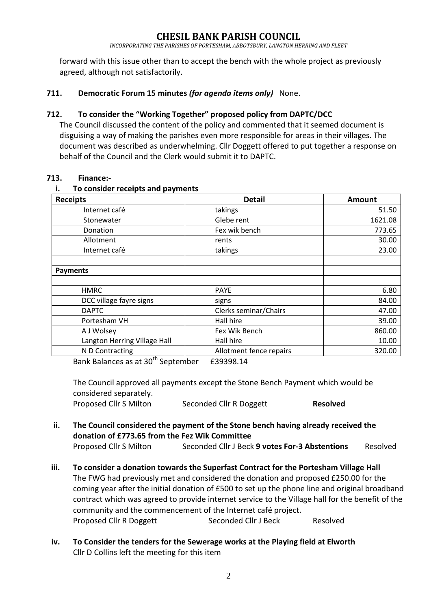*INCORPORATING THE PARISHES OF PORTESHAM, ABBOTSBURY, LANGTON HERRING AND FLEET*

forward with this issue other than to accept the bench with the whole project as previously agreed, although not satisfactorily.

#### **711. Democratic Forum 15 minutes** *(for agenda items only)*None.

#### **712. To consider the "Working Together" proposed policy from DAPTC/DCC**

The Council discussed the content of the policy and commented that it seemed document is disguising a way of making the parishes even more responsible for areas in their villages. The document was described as underwhelming. Cllr Doggett offered to put together a response on behalf of the Council and the Clerk would submit it to DAPTC.

#### **713. Finance:-**

#### **i. To consider receipts and payments**

| <b>Receipts</b>                                | <b>Detail</b>           | <b>Amount</b> |
|------------------------------------------------|-------------------------|---------------|
| Internet café                                  | takings                 | 51.50         |
| Stonewater                                     | Glebe rent              | 1621.08       |
| Donation                                       | Fex wik bench           | 773.65        |
| Allotment                                      | rents                   | 30.00         |
| Internet café                                  | takings                 | 23.00         |
| <b>Payments</b>                                |                         |               |
| <b>HMRC</b>                                    | PAYE                    | 6.80          |
| DCC village fayre signs                        | signs                   | 84.00         |
| <b>DAPTC</b>                                   | Clerks seminar/Chairs   | 47.00         |
| Portesham VH                                   | Hall hire               | 39.00         |
| A J Wolsey                                     | Fex Wik Bench           | 860.00        |
| Langton Herring Village Hall                   | Hall hire               | 10.00         |
| N D Contracting                                | Allotment fence repairs | 320.00        |
| Pank Palances as at 20 <sup>th</sup> Contember | ۹۸ مصوموع               |               |

Bank Balances as at 30th September E39398.14

The Council approved all payments except the Stone Bench Payment which would be considered separately. Proposed Cllr S Milton Seconded Cllr R Doggett **Resolved**

**ii. The Council considered the payment of the Stone bench having already received the donation of £773.65 from the Fez Wik Committee**

```
Proposed Cllr S Milton Seconded Cllr J Beck 9 votes For-3 Abstentions Resolved
```
- **iii. To consider a donation towards the Superfast Contract for the Portesham Village Hall** The FWG had previously met and considered the donation and proposed £250.00 for the coming year after the initial donation of £500 to set up the phone line and original broadband contract which was agreed to provide internet service to the Village hall for the benefit of the community and the commencement of the Internet café project. Proposed Cllr R Doggett Seconded Cllr J Beck Resolved
- **iv. To Consider the tenders for the Sewerage works at the Playing field at Elworth** Cllr D Collins left the meeting for this item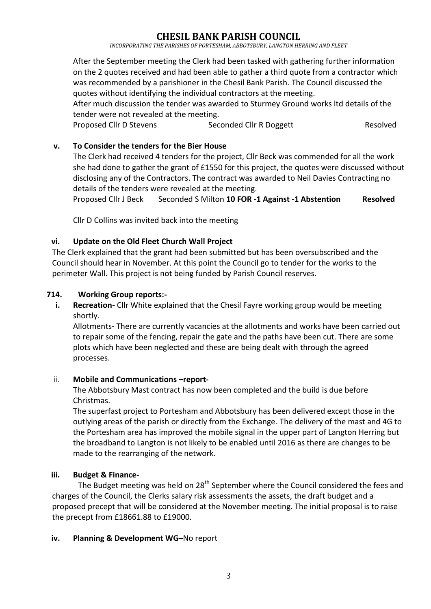*INCORPORATING THE PARISHES OF PORTESHAM, ABBOTSBURY, LANGTON HERRING AND FLEET*

After the September meeting the Clerk had been tasked with gathering further information on the 2 quotes received and had been able to gather a third quote from a contractor which was recommended by a parishioner in the Chesil Bank Parish. The Council discussed the quotes without identifying the individual contractors at the meeting.

After much discussion the tender was awarded to Sturmey Ground works ltd details of the tender were not revealed at the meeting.

Proposed Cllr D Stevens Seconded Cllr R Doggett Resolved

#### **v. To Consider the tenders for the Bier House**

The Clerk had received 4 tenders for the project, Cllr Beck was commended for all the work she had done to gather the grant of £1550 for this project, the quotes were discussed without disclosing any of the Contractors. The contract was awarded to Neil Davies Contracting no details of the tenders were revealed at the meeting.

Proposed Cllr J Beck Seconded S Milton **10 FOR -1 Against -1 Abstention Resolved**

Cllr D Collins was invited back into the meeting

#### **vi. Update on the Old Fleet Church Wall Project**

The Clerk explained that the grant had been submitted but has been oversubscribed and the Council should hear in November. At this point the Council go to tender for the works to the perimeter Wall. This project is not being funded by Parish Council reserves.

#### **714. Working Group reports:-**

**i. Recreation-** Cllr White explained that the Chesil Fayre working group would be meeting shortly.

Allotments**-** There are currently vacancies at the allotments and works have been carried out to repair some of the fencing, repair the gate and the paths have been cut. There are some plots which have been neglected and these are being dealt with through the agreed processes.

#### ii. Mobile and Communications -report-

The Abbotsbury Mast contract has now been completed and the build is due before Christmas.

The superfast project to Portesham and Abbotsbury has been delivered except those in the outlying areas of the parish or directly from the Exchange. The delivery of the mast and 4G to the Portesham area has improved the mobile signal in the upper part of Langton Herring but the broadband to Langton is not likely to be enabled until 2016 as there are changes to be made to the rearranging of the network.

### **iii. Budget & Finance-**

The Budget meeting was held on 28<sup>th</sup> September where the Council considered the fees and charges of the Council, the Clerks salary risk assessments the assets, the draft budget and a proposed precept that will be considered at the November meeting. The initial proposal is to raise the precept from £18661.88 to £19000.

#### **iv. Planning & Development WG–**No report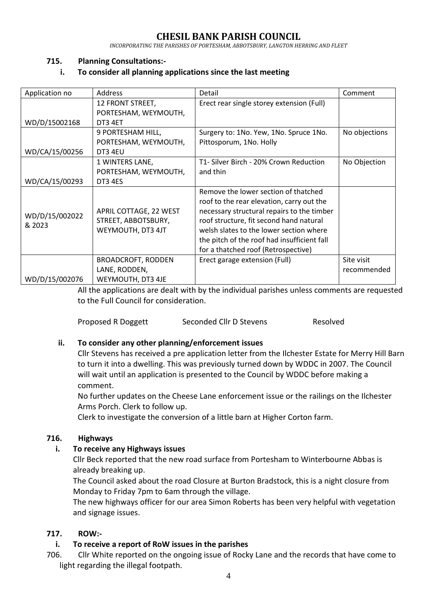*INCORPORATING THE PARISHES OF PORTESHAM, ABBOTSBURY, LANGTON HERRING AND FLEET*

#### **715. Planning Consultations:-**

#### **i. To consider all planning applications since the last meeting**

| Application no | Address                   | Detail                                      | Comment       |
|----------------|---------------------------|---------------------------------------------|---------------|
|                | 12 FRONT STREET,          | Erect rear single storey extension (Full)   |               |
|                | PORTESHAM, WEYMOUTH,      |                                             |               |
| WD/D/15002168  | DT3 4ET                   |                                             |               |
|                | 9 PORTESHAM HILL,         | Surgery to: 1No. Yew, 1No. Spruce 1No.      | No objections |
|                | PORTESHAM, WEYMOUTH,      | Pittosporum, 1No. Holly                     |               |
| WD/CA/15/00256 | DT3 4EU                   |                                             |               |
|                | 1 WINTERS LANE,           | T1- Silver Birch - 20% Crown Reduction      | No Objection  |
|                | PORTESHAM, WEYMOUTH,      | and thin                                    |               |
| WD/CA/15/00293 | DT3 4ES                   |                                             |               |
|                |                           | Remove the lower section of thatched        |               |
|                |                           | roof to the rear elevation, carry out the   |               |
| WD/D/15/002022 | APRIL COTTAGE, 22 WEST    | necessary structural repairs to the timber  |               |
| & 2023         | STREET, ABBOTSBURY,       | roof structure, fit second hand natural     |               |
|                | WEYMOUTH, DT3 4JT         | welsh slates to the lower section where     |               |
|                |                           | the pitch of the roof had insufficient fall |               |
|                |                           | for a thatched roof (Retrospective)         |               |
|                | <b>BROADCROFT, RODDEN</b> | Erect garage extension (Full)               | Site visit    |
|                | LANE, RODDEN,             |                                             | recommended   |
| WD/D/15/002076 | WEYMOUTH, DT3 4JE         |                                             |               |

All the applications are dealt with by the individual parishes unless comments are requested to the Full Council for consideration.

Proposed R Doggett Seconded Cllr D Stevens Resolved

#### **ii. To consider any other planning/enforcement issues**

Cllr Stevens has received a pre application letter from the Ilchester Estate for Merry Hill Barn to turn it into a dwelling. This was previously turned down by WDDC in 2007. The Council will wait until an application is presented to the Council by WDDC before making a comment.

No further updates on the Cheese Lane enforcement issue or the railings on the Ilchester Arms Porch. Clerk to follow up.

Clerk to investigate the conversion of a little barn at Higher Corton farm.

#### **716. Highways**

#### **i. To receive any Highways issues**

Cllr Beck reported that the new road surface from Portesham to Winterbourne Abbas is already breaking up.

The Council asked about the road Closure at Burton Bradstock, this is a night closure from Monday to Friday 7pm to 6am through the village.

The new highways officer for our area Simon Roberts has been very helpful with vegetation and signage issues.

### **717. ROW:-**

### **i. To receive a report of RoW issues in the parishes**

706. Cllr White reported on the ongoing issue of Rocky Lane and the records that have come to light regarding the illegal footpath.